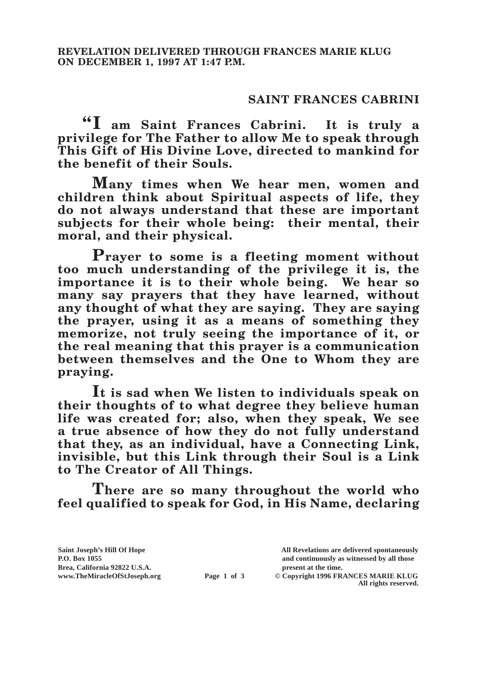## **SAINT FRANCES CABRINI**

**"I am Saint Frances Cabrini. It is truly a privilege for The Father to allow Me to speak through This Gift of His Divine Love, directed to mankind for the benefit of their Souls.**

**Many times when We hear men, women and children think about Spiritual aspects of life, they do not always understand that these are important subjects for their whole being: their mental, their moral, and their physical.**

**Prayer to some is a fleeting moment without too much understanding of the privilege it is, the importance it is to their whole being. We hear so many say prayers that they have learned, without any thought of what they are saying. They are saying the prayer, using it as a means of something they memorize, not truly seeing the importance of it, or the real meaning that this prayer is a communication between themselves and the One to Whom they are praying.**

**It is sad when We listen to individuals speak on their thoughts of to what degree they believe human life was created for; also, when they speak, We see a true absence of how they do not fully understand that they, as an individual, have a Connecting Link, invisible, but this Link through their Soul is a Link to The Creator of All Things.**

**There are so many throughout the world who feel qualified to speak for God, in His Name, declaring** 

Brea, California 92822 U.S.A.<br>
www.TheMiracleOfStJoseph.org<br> **Page 1 of 3** © Copyright 1996 FR.

**Saint Joseph's Hill Of Hope All Revelations are delivered spontaneously P.O. Box 1055 and continuously as witnessed by all those** 

**Page 1 of 3** © Copyright 1996 FRANCES MARIE KLUG **All rights reserved.**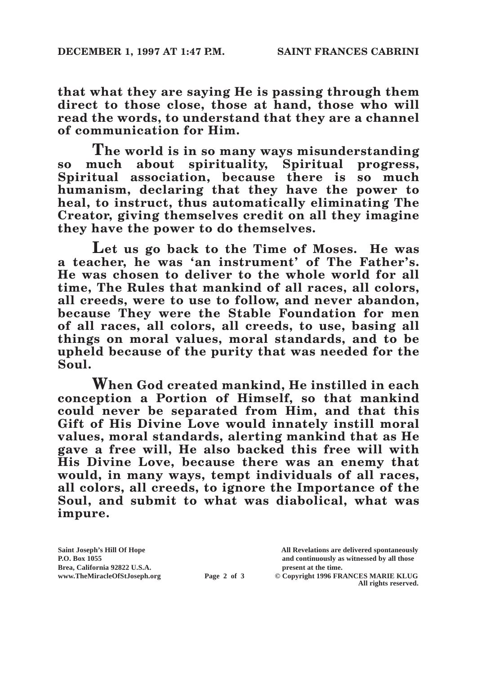**that what they are saying He is passing through them direct to those close, those at hand, those who will read the words, to understand that they are a channel of communication for Him.**

**The world is in so many ways misunderstanding**  so much about spirituality. Spiritual **Spiritual association, because there is so much humanism, declaring that they have the power to heal, to instruct, thus automatically eliminating The Creator, giving themselves credit on all they imagine they have the power to do themselves.**

**Let us go back to the Time of Moses. He was a teacher, he was 'an instrument' of The Father's. He was chosen to deliver to the whole world for all time, The Rules that mankind of all races, all colors, all creeds, were to use to follow, and never abandon, because They were the Stable Foundation for men of all races, all colors, all creeds, to use, basing all things on moral values, moral standards, and to be upheld because of the purity that was needed for the Soul.**

**When God created mankind, He instilled in each conception a Portion of Himself, so that mankind could never be separated from Him, and that this Gift of His Divine Love would innately instill moral values, moral standards, alerting mankind that as He gave a free will, He also backed this free will with His Divine Love, because there was an enemy that would, in many ways, tempt individuals of all races, all colors, all creeds, to ignore the Importance of the Soul, and submit to what was diabolical, what was impure.**

Brea, California 92822 U.S.A.<br>
www.TheMiracleOfStJoseph.org<br> **Page 2 of 3** © Copyright 1996 FR.

**Saint Joseph's Hill Of Hope All Revelations are delivered spontaneously P.O. Box 1055 and continuously as witnessed by all those** 

**Page 2 of 3** © Copyright 1996 FRANCES MARIE KLUG **All rights reserved.**